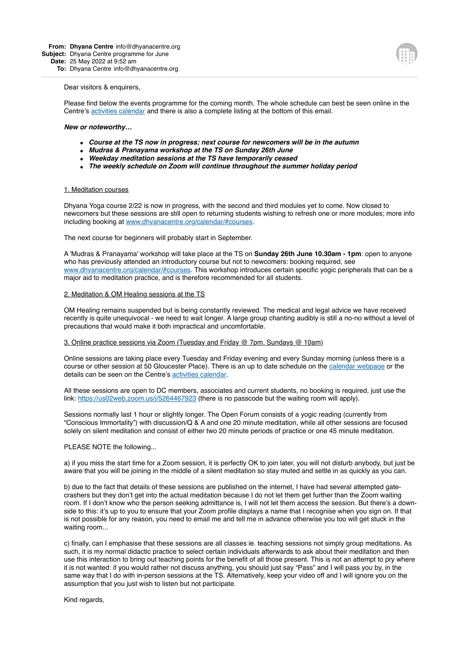#### Dear visitors & enquirers,

Please find below the events programme for the coming month. The whole schedule can best be seen online in the Centre's [activities calendar](https://www.google.com/calendar/embed?src=alan@dhyanacentre.org&ctz=Europe/London) and there is also a complete listing at the bottom of this email.

#### *New or noteworthy…*

- *Course at the TS now in progress; next course for newcomers will be in the autumn*
- *Mudras & Pranayama workshop at the TS on Sunday 26th June*
- *Weekday meditation sessions at the TS have temporarily ceased*
- *The weekly schedule on Zoom will continue throughout the summer holiday period*

### 1. Meditation courses

Dhyana Yoga course 2/22 is now in progress, with the second and third modules yet to come. Now closed to newcomers but these sessions are still open to returning students wishing to refresh one or more modules; more info including booking at [www.dhyanacentre.org/calendar/#courses.](http://www.dhyanacentre.org/calendar/#courses)

The next course for beginners will probably start in September.

A 'Mudras & Pranayama' workshop will take place at the TS on **Sunday 26th June 10.30am - 1pm**: open to anyone who has previously attended an introductory course but not to newcomers: booking required, see [www.dhyanacentre.org/calendar/#courses.](http://www.dhyanacentre.org/calendar/#courses) This workshop introduces certain specific yogic peripherals that can be a major aid to meditation practice, and is therefore recommended for all students.

### 2. Meditation & OM Healing sessions at the TS

OM Healing remains suspended but is being constantly reviewed. The medical and legal advice we have received recently is quite unequivocal - we need to wait longer. A large group chanting audibly is still a no-no without a level of precautions that would make it both impractical and uncomfortable.

# 3. Online practice sessions via Zoom (Tuesday and Friday @ 7pm, Sundays @ 10am)

Online sessions are taking place every Tuesday and Friday evening and every Sunday morning (unless there is a course or other session at 50 Gloucester Place). There is an up to date schedule on the [calendar webpage](http://www.dhyanacentre.org/calendar/#zoom) or the details can be seen on the Centre's [activities calendar](https://calendar.google.com/calendar/u/0/embed?src=alan@dhyanacentre.org&ctz=Europe/London&pli=1).

All these sessions are open to DC members, associates and current students, no booking is required, just use the link: <https://us02web.zoom.us/j/5264467923> (there is no passcode but the waiting room will apply).

Sessions normally last 1 hour or slightly longer. The Open Forum consists of a yogic reading (currently from "Conscious Immortality") with discussion/Q & A and one 20 minute meditation, while all other sessions are focused solely on silent meditation and consist of either two 20 minute periods of practice or one 45 minute meditation.

### PLEASE NOTE the following...

a) if you miss the start time for a Zoom session, it is perfectly OK to join later, you will not disturb anybody, but just be aware that you will be joining in the middle of a silent meditation so stay muted and settle in as quickly as you can.

b) due to the fact that details of these sessions are published on the internet, I have had several attempted gatecrashers but they don't get into the actual meditation because I do not let them get further than the Zoom waiting room. If I don't know who the person seeking admittance is, I will not let them access the session. But there's a downside to this: it's up to you to ensure that your Zoom profile displays a name that I recognise when you sign on. If that is not possible for any reason, you need to email me and tell me in advance otherwise you too will get stuck in the waiting room...

c) finally, can I emphasise that these sessions are all classes ie. teaching sessions not simply group meditations. As such, it is my normal didactic practice to select certain individuals afterwards to ask about their meditation and then use this interaction to bring out teaching points for the benefit of all those present. This is not an attempt to pry where it is not wanted: if you would rather not discuss anything, you should just say "Pass" and I will pass you by, in the same way that I do with in-person sessions at the TS. Alternatively, keep your video off and I will ignore you on the assumption that you just wish to listen but not participate.

Kind regards,